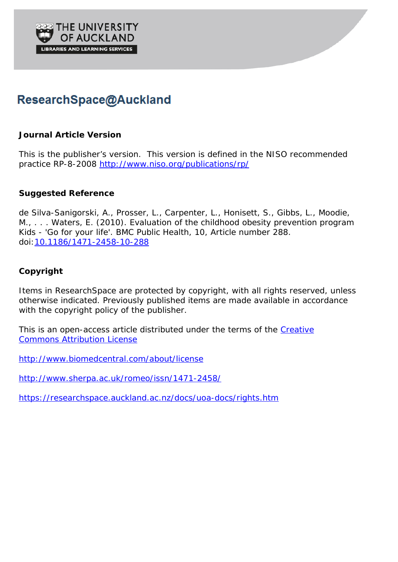

# ResearchSpace@Auckland

# **Journal Article Version**

This is the publisher's version. This version is defined in the NISO recommended practice RP-8-2008 <http://www.niso.org/publications/rp/>

# **Suggested Reference**

de Silva-Sanigorski, A., Prosser, L., Carpenter, L., Honisett, S., Gibbs, L., Moodie, M., . . . Waters, E. (2010). Evaluation of the childhood obesity prevention program Kids - 'Go for your life'. *BMC Public Health*, 10, Article number 288. doi[:10.1186/1471-2458-10-288](http://dx.doi.org/10.1186/1471-2458-10-288)

# **Copyright**

Items in ResearchSpace are protected by copyright, with all rights reserved, unless otherwise indicated. Previously published items are made available in accordance with the copyright policy of the publisher.

This is an open-access article distributed under the terms of the Creative [Commons Attribution License](http://creativecommons.org/licenses/by/2.0/)

<http://www.biomedcentral.com/about/license>

<http://www.sherpa.ac.uk/romeo/issn/1471-2458/>

<https://researchspace.auckland.ac.nz/docs/uoa-docs/rights.htm>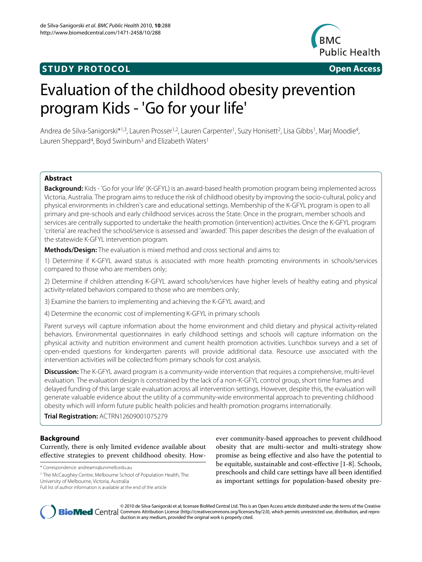# **STUDY PROTOCOL Open Access**



# Evaluation of the childhood obesity prevention program Kids - 'Go for your life'

Andrea de Silva-Sanigorski<sup>\*1,3</sup>, Lauren Prosser<sup>1,2</sup>, Lauren Carpenter<sup>1</sup>, Suzy Honisett<sup>2</sup>, Lisa Gibbs<sup>1</sup>, Marj Moodie<sup>4</sup>, Lauren Sheppard<sup>4</sup>, Boyd Swinburn<sup>3</sup> and Elizabeth Waters<sup>1</sup>

# **Abstract**

**Background:** Kids - 'Go for your life' (K-GFYL) is an award-based health promotion program being implemented across Victoria, Australia. The program aims to reduce the risk of childhood obesity by improving the socio-cultural, policy and physical environments in children's care and educational settings. Membership of the K-GFYL program is open to all primary and pre-schools and early childhood services across the State. Once in the program, member schools and services are centrally supported to undertake the health promotion (intervention) activities. Once the K-GFYL program 'criteria' are reached the school/service is assessed and 'awarded'. This paper describes the design of the evaluation of the statewide K-GFYL intervention program.

**Methods/Design:** The evaluation is mixed method and cross sectional and aims to:

1) Determine if K-GFYL award status is associated with more health promoting environments in schools/services compared to those who are members only;

2) Determine if children attending K-GFYL award schools/services have higher levels of healthy eating and physical activity-related behaviors compared to those who are members only;

3) Examine the barriers to implementing and achieving the K-GFYL award; and

4) Determine the economic cost of implementing K-GFYL in primary schools

Parent surveys will capture information about the home environment and child dietary and physical activity-related behaviors. Environmental questionnaires in early childhood settings and schools will capture information on the physical activity and nutrition environment and current health promotion activities. Lunchbox surveys and a set of open-ended questions for kindergarten parents will provide additional data. Resource use associated with the intervention activities will be collected from primary schools for cost analysis.

**Discussion:** The K-GFYL award program is a community-wide intervention that requires a comprehensive, multi-level evaluation. The evaluation design is constrained by the lack of a non-K-GFYL control group, short time frames and delayed funding of this large scale evaluation across all intervention settings. However, despite this, the evaluation will generate valuable evidence about the utility of a community-wide environmental approach to preventing childhood obesity which will inform future public health policies and health promotion programs internationally.

**Trial Registration:** ACTRN12609001075279

# **Background**

Currently, there is only limited evidence available about effective strategies to prevent childhood obesity. How-

\* Correspondence: andreams@unimelb.edu.au

1 The McCaughey Centre, Melbourne School of Population Health, The University of Melbourne, Victoria, Australia

ever community-based approaches to prevent childhood



© 2010 de Silva-Sanigorski et al; licensee BioMed Central Ltd. This is an Open Access article distributed under the terms of the Creative **Bio Med** Central Commons Attribution License (http://creativecommons.org/licenses/by/2.0), which permits unrestricted use, distribution, and reproduction in any medium, provided the original work is properly cited.

Full list of author information is available at the end of the article

obesity that are multi-sector and multi-strategy show promise as being effective and also have the potential to be equitable, sustainable and cost-effective [\[1](#page-7-0)-[8\]](#page-7-1). Schools, preschools and child care settings have all been identified as important settings for population-based obesity pre-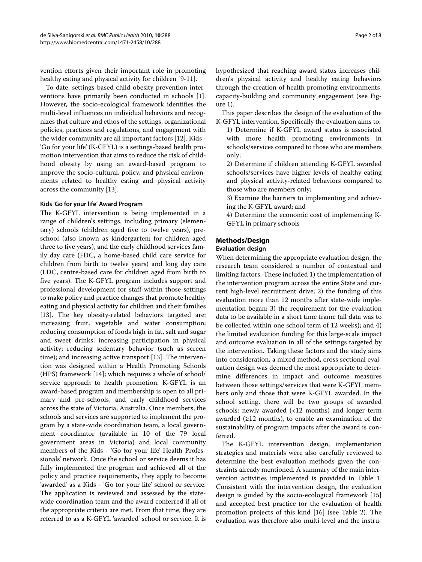vention efforts given their important role in promoting healthy eating and physical activity for children [[9](#page-7-2)[-11\]](#page-7-3).

To date, settings-based child obesity prevention interventions have primarily been conducted in schools [\[1](#page-7-0)]. However, the socio-ecological framework identifies the multi-level influences on individual behaviors and recognizes that culture and ethos of the settings, organizational policies, practices and regulations, and engagement with the wider community are all important factors [\[12](#page-7-4)]. Kids - 'Go for your life' (K-GFYL) is a settings-based health promotion intervention that aims to reduce the risk of childhood obesity by using an award-based program to improve the socio-cultural, policy, and physical environments related to healthy eating and physical activity across the community [\[13](#page-7-5)].

#### **Kids 'Go for your life' Award Program**

The K-GFYL intervention is being implemented in a range of children's settings, including primary (elementary) schools (children aged five to twelve years), preschool (also known as kindergarten; for children aged three to five years), and the early childhood services family day care (FDC, a home-based child care service for children from birth to twelve years) and long day care (LDC, centre-based care for children aged from birth to five years). The K-GFYL program includes support and professional development for staff within those settings to make policy and practice changes that promote healthy eating and physical activity for children and their families [[13\]](#page-7-5). The key obesity-related behaviors targeted are: increasing fruit, vegetable and water consumption; reducing consumption of foods high in fat, salt and sugar and sweet drinks; increasing participation in physical activity; reducing sedentary behavior (such as screen time); and increasing active transport [\[13\]](#page-7-5). The intervention was designed within a Health Promoting Schools (HPS) framework [\[14](#page-7-6)]; which requires a whole of school/ service approach to health promotion. K-GFYL is an award-based program and membership is open to all primary and pre-schools, and early childhood services across the state of Victoria, Australia. Once members, the schools and services are supported to implement the program by a state-wide coordination team, a local government coordinator (available in 10 of the 79 local government areas in Victoria) and local community members of the Kids - 'Go for your life' Health Professionals' network. Once the school or service deems it has fully implemented the program and achieved all of the policy and practice requirements, they apply to become 'awarded' as a Kids - 'Go for your life' school or service. The application is reviewed and assessed by the statewide coordination team and the award conferred if all of the appropriate criteria are met. From that time, they are referred to as a K-GFYL 'awarded' school or service. It is hypothesized that reaching award status increases children's physical activity and healthy eating behaviors through the creation of health promoting environments, capacity-building and community engagement (see Figure [1](#page-3-0)).

This paper describes the design of the evaluation of the K-GFYL intervention. Specifically the evaluation aims to:

1) Determine if K-GFYL award status is associated with more health promoting environments in schools/services compared to those who are members only;

2) Determine if children attending K-GFYL awarded schools/services have higher levels of healthy eating and physical activity-related behaviors compared to those who are members only;

3) Examine the barriers to implementing and achieving the K-GFYL award; and

4) Determine the economic cost of implementing K-GFYL in primary schools

### **Methods/Design**

#### **Evaluation design**

When determining the appropriate evaluation design, the research team considered a number of contextual and limiting factors. These included 1) the implementation of the intervention program across the entire State and current high-level recruitment drive; 2) the funding of this evaluation more than 12 months after state-wide implementation began; 3) the requirement for the evaluation data to be available in a short time frame (all data was to be collected within one school term of 12 weeks); and 4) the limited evaluation funding for this large-scale impact and outcome evaluation in all of the settings targeted by the intervention. Taking these factors and the study aims into consideration, a mixed method, cross sectional evaluation design was deemed the most appropriate to determine differences in impact and outcome measures between those settings/services that were K-GFYL members only and those that were K-GFYL awarded. In the school setting, there will be two groups of awarded schools: newly awarded (<12 months) and longer term awarded (≥12 months), to enable an examination of the sustainability of program impacts after the award is conferred.

The K-GFYL intervention design, implementation strategies and materials were also carefully reviewed to determine the best evaluation methods given the constraints already mentioned. A summary of the main intervention activities implemented is provided in Table [1](#page-4-0). Consistent with the intervention design, the evaluation design is guided by the socio-ecological framework [[15](#page-7-7)] and accepted best practice for the evaluation of health promotion projects of this kind [\[16](#page-7-8)] (see Table 2). The evaluation was therefore also multi-level and the instru-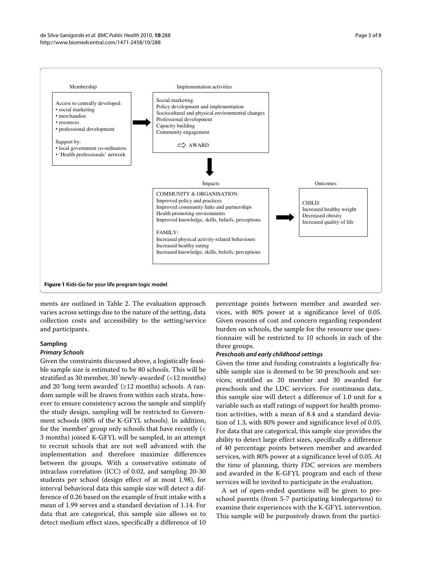<span id="page-3-0"></span>

ments are outlined in Table 2. The evaluation approach varies across settings due to the nature of the setting, data collection costs and accessibility to the setting/service and participants.

#### **Sampling**

#### **Primary Schools**

Given the constraints discussed above, a logistically feasible sample size is estimated to be 80 schools. This will be stratified as 30 member, 30 'newly-awarded' (<12 months) and 20 'long term awarded' (≥12 months) schools. A random sample will be drawn from within each strata, however to ensure consistency across the sample and simplify the study design, sampling will be restricted to Government schools (80% of the K-GFYL schools). In addition, for the 'member' group only schools that have recently (< 3 months) joined K-GFYL will be sampled, in an attempt to recruit schools that are not well advanced with the implementation and therefore maximize differences between the groups. With a conservative estimate of intraclass correlation (ICC) of 0.02, and sampling 20-30 students per school (design effect of at most 1.98), for interval behavioral data this sample size will detect a difference of 0.26 based on the example of fruit intake with a mean of 1.99 serves and a standard deviation of 1.14. For data that are categorical, this sample size allows us to detect medium effect sizes, specifically a difference of 10

percentage points between member and awarded services, with 80% power at a significance level of 0.05. Given reasons of cost and concern regarding respondent burden on schools, the sample for the resource use questionnaire will be restricted to 10 schools in each of the three groups.

#### **Preschools and early childhood settings**

Given the time and funding constraints a logistically feasible sample size is deemed to be 50 preschools and services; stratified as 20 member and 30 awarded for preschools and the LDC services. For continuous data, this sample size will detect a difference of 1.0 unit for a variable such as staff ratings of support for health promotion activities, with a mean of 8.4 and a standard deviation of 1.3, with 80% power and significance level of 0.05. For data that are categorical, this sample size provides the ability to detect large effect sizes, specifically a difference of 40 percentage points between member and awarded services, with 80% power at a significance level of 0.05. At the time of planning, thirty FDC services are members and awarded in the K-GFYL program and each of these services will be invited to participate in the evaluation.

A set of open-ended questions will be given to preschool parents (from 5-7 participating kindergartens) to examine their experiences with the K-GFYL intervention. This sample will be purposively drawn from the partici-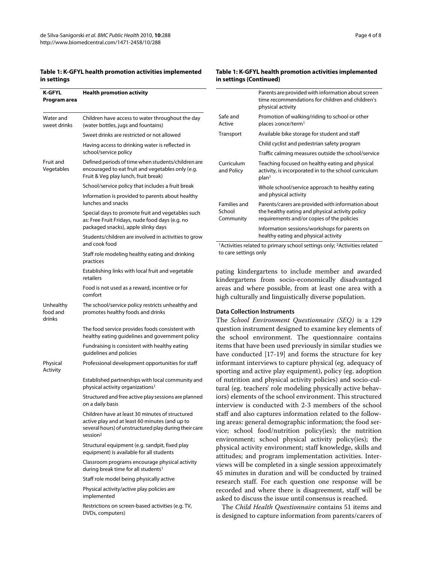#### <span id="page-4-0"></span>**Table 1: K-GFYL health promotion activities implemented in settings**

| K-GFYL<br>Program area          | <b>Health promotion activity</b>                                                                                                                                                   |  |
|---------------------------------|------------------------------------------------------------------------------------------------------------------------------------------------------------------------------------|--|
| Water and<br>sweet drinks       | Children have access to water throughout the day<br>(water bottles, jugs and fountains)                                                                                            |  |
|                                 | Sweet drinks are restricted or not allowed                                                                                                                                         |  |
|                                 | Having access to drinking water is reflected in<br>school/service policy                                                                                                           |  |
| Fruit and<br>Vegetables         | Defined periods of time when students/children are<br>encouraged to eat fruit and vegetables only (e.g.<br>Fruit & Veg play lunch, fruit break)                                    |  |
|                                 | School/service policy that includes a fruit break                                                                                                                                  |  |
|                                 | Information is provided to parents about healthy<br>lunches and snacks                                                                                                             |  |
|                                 | Special days to promote fruit and vegetables such<br>as: Free Fruit Fridays, nude food days (e.g. no<br>packaged snacks), apple slinky days                                        |  |
|                                 | Students/children are involved in activities to grow<br>and cook food                                                                                                              |  |
|                                 | Staff role modeling healthy eating and drinking<br>practices                                                                                                                       |  |
|                                 | Establishing links with local fruit and vegetable<br>retailers                                                                                                                     |  |
|                                 | Food is not used as a reward, incentive or for<br>comfort                                                                                                                          |  |
| Unhealthy<br>food and<br>drinks | The school/service policy restricts unhealthy and<br>promotes healthy foods and drinks                                                                                             |  |
|                                 | The food service provides foods consistent with<br>healthy eating guidelines and government policy                                                                                 |  |
|                                 | Fundraising is consistent with healthy eating<br>guidelines and policies                                                                                                           |  |
| Physical<br><b>Activity</b>     | Professional development opportunities for staff                                                                                                                                   |  |
|                                 | Established partnerships with local community and<br>physical activity organizations <sup>1</sup>                                                                                  |  |
|                                 | Structured and free active play sessions are planned<br>on a daily basis                                                                                                           |  |
|                                 | Children have at least 30 minutes of structured<br>active play and at least 60 minutes (and up to<br>several hours) of unstructured play during their care<br>session <sup>2</sup> |  |
|                                 | Structural equipment (e.g. sandpit, fixed play<br>equipment) is available for all students                                                                                         |  |
|                                 | Classroom programs encourage physical activity<br>during break time for all students <sup>1</sup>                                                                                  |  |
|                                 | Staff role model being physically active                                                                                                                                           |  |
|                                 | Physical activity/active play policies are<br>implemented                                                                                                                          |  |
|                                 | Restrictions on screen-based activities (e.g. TV,<br>DVDs, computers)                                                                                                              |  |

### **Table 1: K-GFYL health promotion activities implemented in settings (Continued)**

|                                     | Parents are provided with information about screen<br>time recommendations for children and children's<br>physical activity                         |  |  |
|-------------------------------------|-----------------------------------------------------------------------------------------------------------------------------------------------------|--|--|
| Safe and<br>Active                  | Promotion of walking/riding to school or other<br>places ≥once/term <sup>1</sup>                                                                    |  |  |
| Transport                           | Available bike storage for student and staff                                                                                                        |  |  |
|                                     | Child cyclist and pedestrian safety program                                                                                                         |  |  |
|                                     | Traffic calming measures outside the school/service                                                                                                 |  |  |
| Curriculum<br>and Policy            | Teaching focused on healthy eating and physical<br>activity, is incorporated in to the school curriculum<br>plan <sup>1</sup>                       |  |  |
|                                     | Whole school/service approach to healthy eating<br>and physical activity                                                                            |  |  |
| Families and<br>School<br>Community | Parents/carers are provided with information about<br>the healthy eating and physical activity policy<br>requirements and/or copies of the policies |  |  |
|                                     | Information sessions/workshops for parents on<br>healthy eating and physical activity                                                               |  |  |

1Activities related to primary school settings only; 2Activities related to care settings only

pating kindergartens to include member and awarded kindergartens from socio-economically disadvantaged areas and where possible, from at least one area with a high culturally and linguistically diverse population.

#### **Data Collection Instruments**

The *School Environment Questionnaire (SEQ)* is a 129 question instrument designed to examine key elements of the school environment. The questionnaire contains items that have been used previously in similar studies we have conducted [[17](#page-7-9)-[19\]](#page-7-10) and forms the structure for key informant interviews to capture physical (eg. adequacy of sporting and active play equipment), policy (eg. adoption of nutrition and physical activity policies) and socio-cultural (eg. teachers' role modeling physically active behaviors) elements of the school environment. This structured interview is conducted with 2-3 members of the school staff and also captures information related to the following areas: general demographic information; the food service; school food/nutrition policy(ies); the nutrition environment; school physical activity policy(ies); the physical activity environment; staff knowledge, skills and attitudes; and program implementation activities. Interviews will be completed in a single session approximately 45 minutes in duration and will be conducted by trained research staff. For each question one response will be recorded and where there is disagreement, staff will be asked to discuss the issue until consensus is reached.

The *Child Health Questionnaire* contains 51 items and is designed to capture information from parents/carers of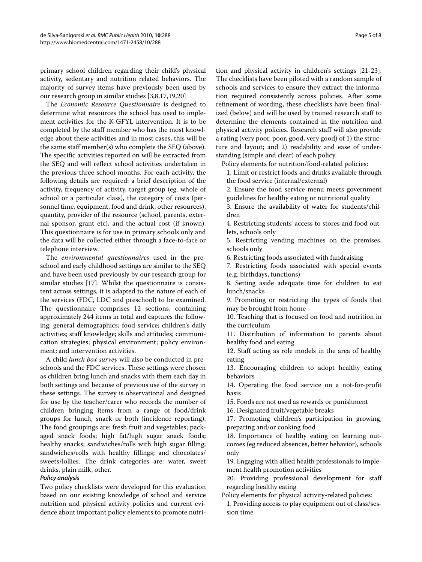primary school children regarding their child's physical activity, sedentary and nutrition related behaviors. The majority of survey items have previously been used by our research group in similar studies [\[3](#page-7-11),[8](#page-7-1),[17,](#page-7-9)[19,](#page-7-10)[20\]](#page-7-12)

The *Economic Resource Questionnaire* is designed to determine what resources the school has used to implement activities for the K-GFYL intervention. It is to be completed by the staff member who has the most knowledge about these activities and in most cases, this will be the same staff member(s) who complete the SEQ (above). The specific activities reported on will be extracted from the SEQ and will reflect school activities undertaken in the previous three school months. For each activity, the following details are required: a brief description of the activity, frequency of activity, target group (eg. whole of school or a particular class), the category of costs (personnel time, equipment, food and drink, other resources), quantity, provider of the resource (school, parents, external sponsor, grant etc), and the actual cost (if known). This questionnaire is for use in primary schools only and the data will be collected either through a face-to-face or telephone interview.

The *environmental questionnaires* used in the preschool and early childhood settings are similar to the SEQ and have been used previously by our research group for similar studies [\[17\]](#page-7-9). Whilst the questionnaire is consistent across settings, it is adapted to the nature of each of the services (FDC, LDC and preschool) to be examined. The questionnaire comprises 12 sections, containing approximately 244 items in total and captures the following: general demographics; food service; children's daily activities; staff knowledge; skills and attitudes; communication strategies; physical environment; policy environment; and intervention activities.

A child *lunch box survey* will also be conducted in preschools and the FDC services. These settings were chosen as children bring lunch and snacks with them each day in both settings and because of previous use of the survey in these settings. The survey is observational and designed for use by the teacher/carer who records the number of children bringing items from a range of food/drink groups for lunch, snack or both (incidence reporting). The food groupings are: fresh fruit and vegetables; packaged snack foods; high fat/high sugar snack foods; healthy snacks; sandwiches/rolls with high sugar filling; sandwiches/rolls with healthy fillings; and chocolates/ sweets/lollies. The drink categories are: water, sweet drinks, plain milk, other.

## **Policy analysis**

Two policy checklists were developed for this evaluation based on our existing knowledge of school and service nutrition and physical activity policies and current evidence about important policy elements to promote nutri-

tion and physical activity in children's settings [[21](#page-7-13)[-23](#page-8-0)]. The checklists have been piloted with a random sample of schools and services to ensure they extract the information required consistently across policies. After some refinement of wording, these checklists have been finalized (below) and will be used by trained research staff to determine the elements contained in the nutrition and physical activity policies. Research staff will also provide a rating (very poor, poor, good, very good) of 1) the structure and layout; and 2) readability and ease of understanding (simple and clear) of each policy.

Policy elements for nutrition/food-related policies:

1. Limit or restrict foods and drinks available through the food service (internal/external)

2. Ensure the food service menu meets government guidelines for healthy eating or nutritional quality

3. Ensure the availability of water for students/children

4. Restricting students' access to stores and food outlets, schools only

5. Restricting vending machines on the premises, schools only

6. Restricting foods associated with fundraising

7. Restricting foods associated with special events (e.g. birthdays, functions)

8. Setting aside adequate time for children to eat lunch/snacks

9. Promoting or restricting the types of foods that may be brought from home

10. Teaching that is focused on food and nutrition in the curriculum

11. Distribution of information to parents about healthy food and eating

12. Staff acting as role models in the area of healthy eating

13. Encouraging children to adopt healthy eating behaviors

14. Operating the food service on a not-for-profit basis

15. Foods are not used as rewards or punishment

16. Designated fruit/vegetable breaks

17. Promoting children's participation in growing, preparing and/or cooking food

18. Importance of healthy eating on learning outcomes (eg reduced absences, better behavior), schools only

19. Engaging with allied health professionals to implement health promotion activities

20. Providing professional development for staff regarding healthy eating

Policy elements for physical activity-related policies:

1. Providing access to play equipment out of class/session time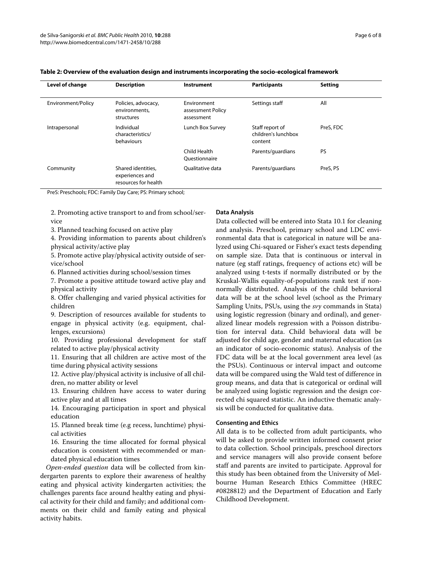| Level of change    | <b>Description</b>                                            | <b>Instrument</b>                              | <b>Participants</b>                               | <b>Setting</b> |
|--------------------|---------------------------------------------------------------|------------------------------------------------|---------------------------------------------------|----------------|
| Environment/Policy | Policies, advocacy,<br>environments,<br>structures            | Environment<br>assessment Policy<br>assessment | Settings staff                                    | All            |
| Intrapersonal      | Individual<br>characteristics/<br>behaviours                  | Lunch Box Survey                               | Staff report of<br>children's lunchbox<br>content | PreS, FDC      |
|                    |                                                               | Child Health<br>Ouestionnaire                  | Parents/guardians                                 | PS             |
| Community          | Shared identities.<br>experiences and<br>resources for health | Oualitative data                               | Parents/guardians                                 | PreS, PS       |

#### **Table 2: Overview of the evaluation design and instruments incorporating the socio-ecological framework**

PreS: Preschools; FDC: Family Day Care; PS: Primary school;

2. Promoting active transport to and from school/service

3. Planned teaching focused on active play

4. Providing information to parents about children's physical activity/active play

5. Promote active play/physical activity outside of service/school

6. Planned activities during school/session times

7. Promote a positive attitude toward active play and physical activity

8. Offer challenging and varied physical activities for children

9. Description of resources available for students to engage in physical activity (e.g. equipment, challenges, excursions)

10. Providing professional development for staff related to active play/physical activity

11. Ensuring that all children are active most of the time during physical activity sessions

12. Active play/physical activity is inclusive of all children, no matter ability or level

13. Ensuring children have access to water during active play and at all times

14. Encouraging participation in sport and physical education

15. Planned break time (e.g recess, lunchtime) physical activities

16. Ensuring the time allocated for formal physical education is consistent with recommended or mandated physical education times

*Open-ended question* data will be collected from kindergarten parents to explore their awareness of healthy eating and physical activity kindergarten activities; the challenges parents face around healthy eating and physical activity for their child and family; and additional comments on their child and family eating and physical activity habits.

## **Data Analysis**

Data collected will be entered into Stata 10.1 for cleaning and analysis. Preschool, primary school and LDC environmental data that is categorical in nature will be analyzed using Chi-squared or Fisher's exact tests depending on sample size. Data that is continuous or interval in nature (eg staff ratings, frequency of actions etc) will be analyzed using t-tests if normally distributed or by the Kruskal-Wallis equality-of-populations rank test if nonnormally distributed. Analysis of the child behavioral data will be at the school level (school as the Primary Sampling Units, PSUs, using the *svy* commands in Stata) using logistic regression (binary and ordinal), and generalized linear models regression with a Poisson distribution for interval data. Child behavioral data will be adjusted for child age, gender and maternal education (as an indicator of socio-economic status). Analysis of the FDC data will be at the local government area level (as the PSUs). Continuous or interval impact and outcome data will be compared using the Wald test of difference in group means, and data that is categorical or ordinal will be analyzed using logistic regression and the design corrected chi squared statistic. An inductive thematic analysis will be conducted for qualitative data.

## **Consenting and Ethics**

All data is to be collected from adult participants, who will be asked to provide written informed consent prior to data collection. School principals, preschool directors and service managers will also provide consent before staff and parents are invited to participate. Approval for this study has been obtained from the University of Melbourne Human Research Ethics Committee (HREC #0828812) and the Department of Education and Early Childhood Development.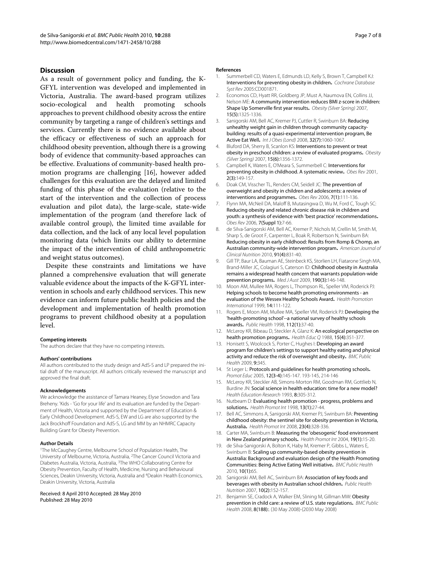### **Discussion**

As a result of government policy and funding, the K-GFYL intervention was developed and implemented in Victoria, Australia. The award-based program utilizes socio-ecological and health promoting schools approaches to prevent childhood obesity across the entire community by targeting a range of children's settings and services. Currently there is no evidence available about the efficacy or effectiveness of such an approach for childhood obesity prevention, although there is a growing body of evidence that community-based approaches can be effective. Evaluations of community-based health promotion programs are challenging [\[16](#page-7-8)], however added challenges for this evaluation are the delayed and limited funding of this phase of the evaluation (relative to the start of the intervention and the collection of process evaluation and pilot data), the large-scale, state-wide implementation of the program (and therefore lack of available control group), the limited time available for data collection, and the lack of any local level population monitoring data (which limits our ability to determine the impact of the intervention of child anthropometric and weight status outcomes).

Despite these constraints and limitations we have planned a comprehensive evaluation that will generate valuable evidence about the impacts of the K-GFYL intervention in schools and early childhood services. This new evidence can inform future public health policies and the development and implementation of health promotion programs to prevent childhood obesity at a population level.

#### **Competing interests**

The authors declare that they have no competing interests.

#### **Authors' contributions**

All authors contributed to the study design and AdS-S and LP prepared the initial draft of the manuscript. All authors critically reviewed the manuscript and approved the final draft.

#### **Acknowledgements**

We acknowledge the assistance of Tamara Heaney, Elyse Snowdon and Tara Breheny. 'Kids - 'Go for your life' and its evaluation are funded by the Department of Health, Victoria and supported by the Department of Education & Early Childhood Development. AdS-S, EW and LG are also supported by the Jack Brockhoff Foundation and AdS-S, LG and MM by an NHMRC Capacity Building Grant for Obesity Prevention.

#### **Author Details**

1The McCaughey Centre, Melbourne School of Population Health, The University of Melbourne, Victoria, Australia, 2The Cancer Council Victoria and Diabetes Australia, Victoria, Australia, 3The WHO Collaborating Centre for Obesity Prevention, Faculty of Health, Medicine, Nursing and Behavioural Sciences, Deakin University, Victoria, Australia and 4Deakin Health Economics, Deakin University, Victoria, Australia

#### Received: 8 April 2010 Accepted: 28 May 2010 Published: 28 May 2010

#### **References**

- <span id="page-7-0"></span>Summerbell CD, Waters E, Edmunds LD, Kelly S, Brown T, Campbell KJ: Interventions for preventing obesity in children**.** Cochrane Database Syst Rev 2005:CD001871.
- 2. Economos CD, Hyatt RR, Goldberg JP, Must A, Naumova EN, Collins JJ, Nelson ME: A community intervention reduces BMI z-score in children: Shape Up Somerville first year results**.** Obesity (Silver Spring) 2007, 15(5):1325-1336.
- <span id="page-7-11"></span>3. Sanigorski AM, Bell AC, Kremer PJ, Cuttler R, Swinburn BA: Reducing unhealthy weight gain in children through community capacitybuilding: results of a quasi-experimental intervention program, Be Active Eat Well**[.](http://www.ncbi.nlm.nih.gov/entrez/query.fcgi?cmd=Retrieve&db=PubMed&dopt=Abstract&list_uids=18542082)** Int J Obes (Lond) 2008, 32(7):1060-1067.
- 4. Bluford DA, Sherry B, Scanlon KS: Interventions to prevent or treat obesity in preschool children: a review of evaluated programs**.** Obesity (Silver Spring) 2007, 15(6):1356-1372.
- 5. Campbell K, Waters E, O'Meara S, Summerbell C: Interventions for preventing obesity in childhood. A systematic review**.** Obes Rev 2001,  $2(3):149-157$
- 6. Doak CM, Visscher TL, Renders CM, Seidell JC: The prevention of overweight and obesity in children and adolescents: a review of interventions and programmes**.** Obes Rev 2006, 7(1):111-136.
- 7. Flynn MA, McNeil DA, Maloff B, Mutasingwa D, Wu M, Ford C, Tough SC: Reducing obesity and related chronic disease risk in children and youth: a synthesis of evidence with 'best practice' recommendations**.** Obes Rev 2006, 7(Suppl 1):7-66.
- <span id="page-7-1"></span>8. de Silva-Sanigorski AM, Bell AC, Kremer P, Nichols M, Crellin M, Smith M, Sharp S, de Groot F, Carpenter L, Boak R, Robertson N, Swinburn BA: Reducing obesity in early childhood: Results from Romp & Chomp, an Australian community-wide intervention program**.** American Journal of Clinical Nutrition 2010, 91(4):831-40.
- <span id="page-7-2"></span>9. Gill TP, Baur LA, Bauman AE, Steinbeck KS, Storlien LH, Fiatarone Singh MA, Brand-Miller JC, Colagiuri S, Caterson ID: Childhood obesity in Australia remains a widespread health concern that warrants population-wide prevention programs**.** Med J Aust 2009, 190(3):146-148.
- 10. Moon AM, Mullee MA, Rogers L, Thompson RL, Speller VM, Roderick PJ: Helping schools to become health promoting environments - an evaluation of the Wessex Healthy Schools Award**.** Health Promotion International 1999, 14:111-122.
- <span id="page-7-3"></span>11. Rogers E, Moon AM, Mullee MA, Speller VM, Roderick PJ: Developing the 'health-promoting school'--a national survey of healthy schools awards**.** Public Health 1998, 112(1):37-40.
- <span id="page-7-4"></span>12. McLeroy KR, Bibeau D, Steckler A, Glanz K: An ecological perspective on health promotion programs**.** Health Educ Q 1988, 15(4):351-377.
- <span id="page-7-5"></span>13. Honisett S, Woolcock S, Porter C, Hughes I: Developing an award program for children's settings to support healthy eating and physical activity and reduce the risk of overweight and obesity**.** BMC Public Health 2009, 9:345.
- <span id="page-7-6"></span>14. St Leger L: Protocols and guidelines for health promoting schools**.** Promot Educ 2005, 12(3-4):145-147. 193-145, 214-146
- <span id="page-7-7"></span>15. McLeroy KR, Steckler AB, Simons-Morton RM, Goodman RM, Gottlieb N, Burdine JN: Social science in health education: time for a new model? Health Education Research 1993, 8:305-312.
- <span id="page-7-8"></span>16. Nutbeam D: Evaluating health promotion - progress, problems and solutions**.** Health Promot Int 1998, 13(1):27-44.
- <span id="page-7-9"></span>17. Bell AC, Simmons A, Sanigorski AM, Kremer PJ, Swinburn BA: Preventing childhood obesity: the sentinel site for obesity prevention in Victoria, Australia**.** Health Promot Int 2008, 23(4):328-336.
- 18. Carter MA, Swinburn B: Measuring the 'obesogenic' food environment in New Zealand primary schools**[.](http://www.ncbi.nlm.nih.gov/entrez/query.fcgi?cmd=Retrieve&db=PubMed&dopt=Abstract&list_uids=14976168)** Health Promot Int 2004, 19(1):15-20.
- <span id="page-7-10"></span>19. de Silva-Sanigorski A, Bolton K, Haby M, Kremer P, Gibbs L, Waters E, Swinburn B: Scaling up community-based obesity prevention in Australia: Background and evaluation design of the Health Promoting Communities: Being Active Eating Well initiative**.** BMC Public Health 2010, 10(1):65.
- <span id="page-7-12"></span>20. Sanigorski AM, Bell AC, Swinburn BA: Association of key foods and beverages with obesity in Australian school children**.** Public Health Nutrition 2007, 10(2):152-157.
- <span id="page-7-13"></span>21. Benjamin SE, Cradock A, Walker EM, Slining M, Gillman MW: Obesity prevention in child care: a review of U.S. state regulations**.** BMC Public .<br>Health 2008, 8(188):. (30 May 2008)-(2030 May 2008)